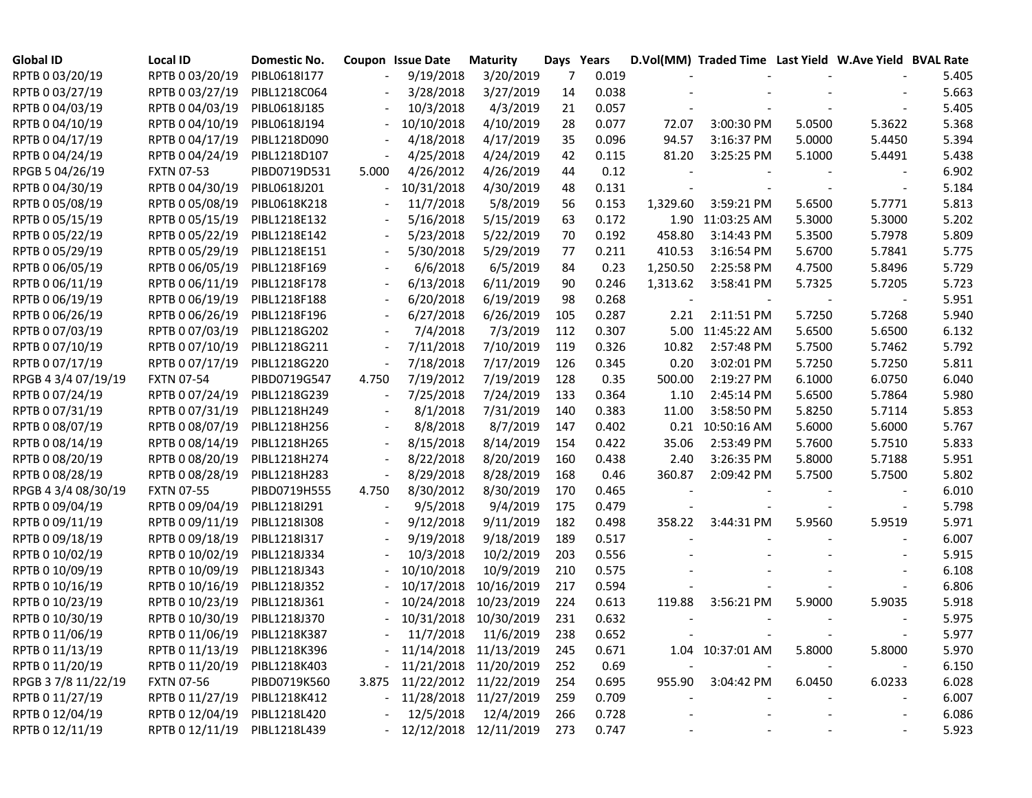| <b>Global ID</b>    | <b>Local ID</b>   | Domestic No. |       | Coupon Issue Date          | <b>Maturity</b>       | Days Years |       |          | D.Vol(MM) Traded Time Last Yield W.Ave Yield BVAL Rate |        |        |       |
|---------------------|-------------------|--------------|-------|----------------------------|-----------------------|------------|-------|----------|--------------------------------------------------------|--------|--------|-------|
| RPTB 0 03/20/19     | RPTB 0 03/20/19   | PIBL0618I177 |       | 9/19/2018                  | 3/20/2019             | 7          | 0.019 |          |                                                        |        |        | 5.405 |
| RPTB 0 03/27/19     | RPTB 0 03/27/19   | PIBL1218C064 |       | 3/28/2018                  | 3/27/2019             | 14         | 0.038 |          |                                                        |        |        | 5.663 |
| RPTB 0 04/03/19     | RPTB 0 04/03/19   | PIBL0618J185 |       | 10/3/2018                  | 4/3/2019              | 21         | 0.057 |          |                                                        |        |        | 5.405 |
| RPTB 0 04/10/19     | RPTB 0 04/10/19   | PIBL0618J194 |       | 10/10/2018                 | 4/10/2019             | 28         | 0.077 | 72.07    | 3:00:30 PM                                             | 5.0500 | 5.3622 | 5.368 |
| RPTB 0 04/17/19     | RPTB 0 04/17/19   | PIBL1218D090 |       | 4/18/2018                  | 4/17/2019             | 35         | 0.096 | 94.57    | 3:16:37 PM                                             | 5.0000 | 5.4450 | 5.394 |
| RPTB 0 04/24/19     | RPTB 0 04/24/19   | PIBL1218D107 |       | 4/25/2018                  | 4/24/2019             | 42         | 0.115 | 81.20    | 3:25:25 PM                                             | 5.1000 | 5.4491 | 5.438 |
| RPGB 5 04/26/19     | <b>FXTN 07-53</b> | PIBD0719D531 | 5.000 | 4/26/2012                  | 4/26/2019             | 44         | 0.12  |          |                                                        |        |        | 6.902 |
| RPTB 0 04/30/19     | RPTB 0 04/30/19   | PIBL0618J201 |       | 10/31/2018                 | 4/30/2019             | 48         | 0.131 |          |                                                        |        |        | 5.184 |
| RPTB 0 05/08/19     | RPTB 0 05/08/19   | PIBL0618K218 |       | 11/7/2018                  | 5/8/2019              | 56         | 0.153 | 1,329.60 | 3:59:21 PM                                             | 5.6500 | 5.7771 | 5.813 |
| RPTB 0 05/15/19     | RPTB 0 05/15/19   | PIBL1218E132 |       | 5/16/2018                  | 5/15/2019             | 63         | 0.172 |          | 1.90 11:03:25 AM                                       | 5.3000 | 5.3000 | 5.202 |
| RPTB 0 05/22/19     | RPTB 0 05/22/19   | PIBL1218E142 |       | 5/23/2018                  | 5/22/2019             | 70         | 0.192 | 458.80   | 3:14:43 PM                                             | 5.3500 | 5.7978 | 5.809 |
| RPTB 0 05/29/19     | RPTB 0 05/29/19   | PIBL1218E151 |       | 5/30/2018                  | 5/29/2019             | 77         | 0.211 | 410.53   | 3:16:54 PM                                             | 5.6700 | 5.7841 | 5.775 |
| RPTB 0 06/05/19     | RPTB 0 06/05/19   | PIBL1218F169 |       | 6/6/2018                   | 6/5/2019              | 84         | 0.23  | 1,250.50 | 2:25:58 PM                                             | 4.7500 | 5.8496 | 5.729 |
| RPTB 0 06/11/19     | RPTB 0 06/11/19   | PIBL1218F178 |       | 6/13/2018                  | 6/11/2019             | 90         | 0.246 | 1,313.62 | 3:58:41 PM                                             | 5.7325 | 5.7205 | 5.723 |
| RPTB 0 06/19/19     | RPTB 0 06/19/19   | PIBL1218F188 |       | 6/20/2018                  | 6/19/2019             | 98         | 0.268 |          |                                                        |        |        | 5.951 |
| RPTB 0 06/26/19     | RPTB 0 06/26/19   | PIBL1218F196 |       | 6/27/2018                  | 6/26/2019             | 105        | 0.287 | 2.21     | 2:11:51 PM                                             | 5.7250 | 5.7268 | 5.940 |
| RPTB 0 07/03/19     | RPTB 0 07/03/19   | PIBL1218G202 |       | 7/4/2018                   | 7/3/2019              | 112        | 0.307 |          | 5.00 11:45:22 AM                                       | 5.6500 | 5.6500 | 6.132 |
| RPTB 0 07/10/19     | RPTB 0 07/10/19   | PIBL1218G211 |       | 7/11/2018                  | 7/10/2019             | 119        | 0.326 | 10.82    | 2:57:48 PM                                             | 5.7500 | 5.7462 | 5.792 |
| RPTB 0 07/17/19     | RPTB 0 07/17/19   | PIBL1218G220 |       | 7/18/2018                  | 7/17/2019             | 126        | 0.345 | 0.20     | 3:02:01 PM                                             | 5.7250 | 5.7250 | 5.811 |
| RPGB 4 3/4 07/19/19 | <b>FXTN 07-54</b> | PIBD0719G547 | 4.750 | 7/19/2012                  | 7/19/2019             | 128        | 0.35  | 500.00   | 2:19:27 PM                                             | 6.1000 | 6.0750 | 6.040 |
| RPTB 0 07/24/19     | RPTB 0 07/24/19   | PIBL1218G239 |       | 7/25/2018                  | 7/24/2019             | 133        | 0.364 | 1.10     | 2:45:14 PM                                             | 5.6500 | 5.7864 | 5.980 |
| RPTB 0 07/31/19     | RPTB 0 07/31/19   | PIBL1218H249 |       | 8/1/2018                   | 7/31/2019             | 140        | 0.383 | 11.00    | 3:58:50 PM                                             | 5.8250 | 5.7114 | 5.853 |
| RPTB 0 08/07/19     | RPTB 0 08/07/19   | PIBL1218H256 |       | 8/8/2018                   | 8/7/2019              | 147        | 0.402 | 0.21     | 10:50:16 AM                                            | 5.6000 | 5.6000 | 5.767 |
| RPTB 0 08/14/19     | RPTB 0 08/14/19   | PIBL1218H265 |       | 8/15/2018                  | 8/14/2019             | 154        | 0.422 | 35.06    | 2:53:49 PM                                             | 5.7600 | 5.7510 | 5.833 |
| RPTB 0 08/20/19     | RPTB 0 08/20/19   | PIBL1218H274 |       | 8/22/2018                  | 8/20/2019             | 160        | 0.438 | 2.40     | 3:26:35 PM                                             | 5.8000 | 5.7188 | 5.951 |
| RPTB 0 08/28/19     | RPTB 0 08/28/19   | PIBL1218H283 |       | 8/29/2018                  | 8/28/2019             | 168        | 0.46  | 360.87   | 2:09:42 PM                                             | 5.7500 | 5.7500 | 5.802 |
| RPGB 4 3/4 08/30/19 | <b>FXTN 07-55</b> | PIBD0719H555 | 4.750 | 8/30/2012                  | 8/30/2019             | 170        | 0.465 |          |                                                        |        |        | 6.010 |
| RPTB 0 09/04/19     | RPTB 0 09/04/19   | PIBL1218I291 |       | 9/5/2018                   | 9/4/2019              | 175        | 0.479 |          |                                                        |        |        | 5.798 |
| RPTB 0 09/11/19     | RPTB 0 09/11/19   | PIBL1218I308 |       | 9/12/2018                  | 9/11/2019             | 182        | 0.498 | 358.22   | 3:44:31 PM                                             | 5.9560 | 5.9519 | 5.971 |
| RPTB 0 09/18/19     | RPTB 0 09/18/19   | PIBL1218I317 |       | 9/19/2018                  | 9/18/2019             | 189        | 0.517 |          |                                                        |        |        | 6.007 |
| RPTB 0 10/02/19     | RPTB 0 10/02/19   | PIBL1218J334 |       | 10/3/2018                  | 10/2/2019             | 203        | 0.556 |          |                                                        |        |        | 5.915 |
| RPTB 0 10/09/19     | RPTB 0 10/09/19   | PIBL1218J343 |       | 10/10/2018                 | 10/9/2019             | 210        | 0.575 |          |                                                        |        |        | 6.108 |
| RPTB 0 10/16/19     | RPTB 0 10/16/19   | PIBL1218J352 |       | 10/17/2018                 | 10/16/2019            | 217        | 0.594 |          |                                                        |        |        | 6.806 |
| RPTB 0 10/23/19     | RPTB 0 10/23/19   | PIBL1218J361 |       | 10/24/2018                 | 10/23/2019            | 224        | 0.613 | 119.88   | 3:56:21 PM                                             | 5.9000 | 5.9035 | 5.918 |
| RPTB 0 10/30/19     | RPTB 0 10/30/19   | PIBL1218J370 |       | 10/31/2018                 | 10/30/2019            | 231        | 0.632 |          |                                                        |        |        | 5.975 |
| RPTB 0 11/06/19     | RPTB 0 11/06/19   | PIBL1218K387 |       |                            | 11/7/2018 11/6/2019   | 238        | 0.652 |          |                                                        |        |        | 5.977 |
| RPTB 0 11/13/19     | RPTB 0 11/13/19   | PIBL1218K396 |       | $-11/14/2018$ $11/13/2019$ |                       | 245        | 0.671 |          | 1.04 10:37:01 AM                                       | 5.8000 | 5.8000 | 5.970 |
| RPTB 0 11/20/19     | RPTB 0 11/20/19   | PIBL1218K403 |       |                            | 11/21/2018 11/20/2019 | 252        | 0.69  |          |                                                        |        |        | 6.150 |
| RPGB 37/8 11/22/19  | <b>FXTN 07-56</b> | PIBD0719K560 | 3.875 |                            | 11/22/2012 11/22/2019 | 254        | 0.695 |          | 955.90 3:04:42 PM                                      | 6.0450 | 6.0233 | 6.028 |
| RPTB 0 11/27/19     | RPTB 0 11/27/19   | PIBL1218K412 |       |                            | 11/28/2018 11/27/2019 | 259        | 0.709 |          |                                                        |        |        | 6.007 |
| RPTB 0 12/04/19     | RPTB 0 12/04/19   | PIBL1218L420 |       | 12/5/2018                  | 12/4/2019             | 266        | 0.728 |          |                                                        |        |        | 6.086 |
| RPTB 0 12/11/19     | RPTB 0 12/11/19   | PIBL1218L439 |       |                            | 12/12/2018 12/11/2019 | 273        | 0.747 |          |                                                        |        |        | 5.923 |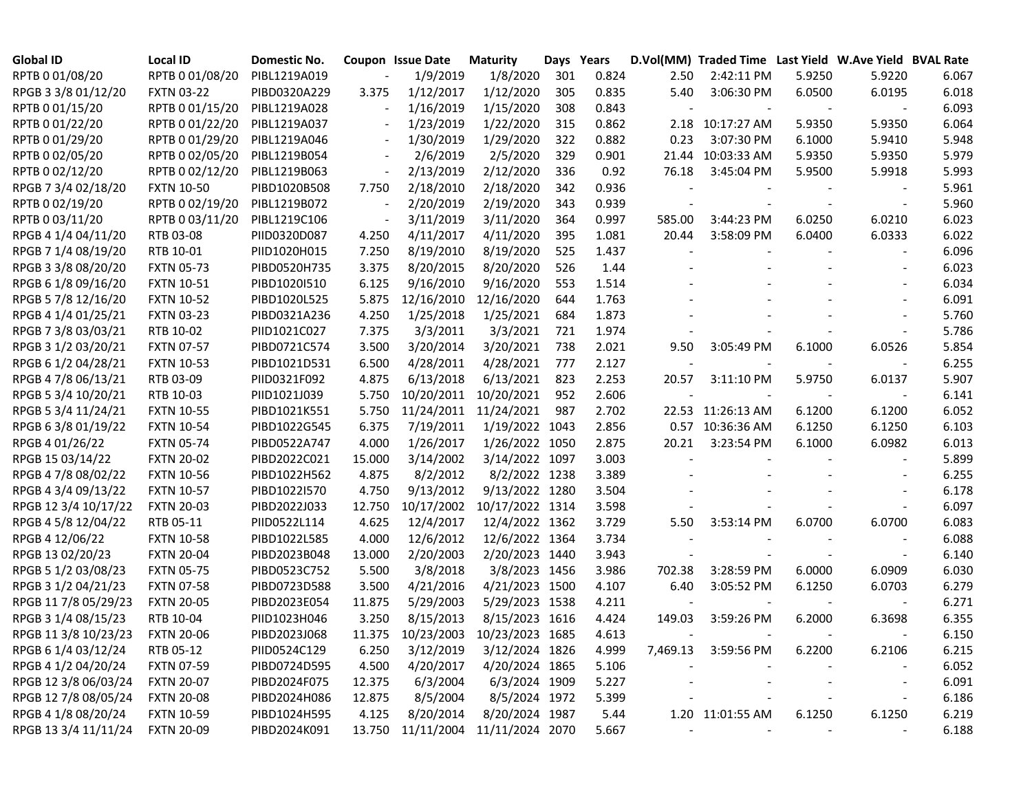| <b>Global ID</b>     | <b>Local ID</b>   | Domestic No. |                          | Coupon Issue Date | <b>Maturity</b>            | Days Years |       |        | D.Vol(MM) Traded Time Last Yield W.Ave Yield BVAL Rate |        |        |       |
|----------------------|-------------------|--------------|--------------------------|-------------------|----------------------------|------------|-------|--------|--------------------------------------------------------|--------|--------|-------|
| RPTB 0 01/08/20      | RPTB 0 01/08/20   | PIBL1219A019 |                          | 1/9/2019          | 1/8/2020                   | 301        | 0.824 | 2.50   | 2:42:11 PM                                             | 5.9250 | 5.9220 | 6.067 |
| RPGB 3 3/8 01/12/20  | <b>FXTN 03-22</b> | PIBD0320A229 | 3.375                    | 1/12/2017         | 1/12/2020                  | 305        | 0.835 | 5.40   | 3:06:30 PM                                             | 6.0500 | 6.0195 | 6.018 |
| RPTB 0 01/15/20      | RPTB 0 01/15/20   | PIBL1219A028 |                          | 1/16/2019         | 1/15/2020                  | 308        | 0.843 |        |                                                        |        |        | 6.093 |
| RPTB 0 01/22/20      | RPTB 0 01/22/20   | PIBL1219A037 |                          | 1/23/2019         | 1/22/2020                  | 315        | 0.862 |        | 2.18 10:17:27 AM                                       | 5.9350 | 5.9350 | 6.064 |
| RPTB 0 01/29/20      | RPTB 0 01/29/20   | PIBL1219A046 |                          | 1/30/2019         | 1/29/2020                  | 322        | 0.882 | 0.23   | 3:07:30 PM                                             | 6.1000 | 5.9410 | 5.948 |
| RPTB 0 02/05/20      | RPTB 0 02/05/20   | PIBL1219B054 |                          | 2/6/2019          | 2/5/2020                   | 329        | 0.901 | 21.44  | 10:03:33 AM                                            | 5.9350 | 5.9350 | 5.979 |
| RPTB 0 02/12/20      | RPTB 0 02/12/20   | PIBL1219B063 |                          | 2/13/2019         | 2/12/2020                  | 336        | 0.92  | 76.18  | 3:45:04 PM                                             | 5.9500 | 5.9918 | 5.993 |
| RPGB 7 3/4 02/18/20  | <b>FXTN 10-50</b> | PIBD1020B508 | 7.750                    | 2/18/2010         | 2/18/2020                  | 342        | 0.936 |        |                                                        |        |        | 5.961 |
| RPTB 0 02/19/20      | RPTB 0 02/19/20   | PIBL1219B072 | $\overline{\phantom{a}}$ | 2/20/2019         | 2/19/2020                  | 343        | 0.939 |        |                                                        |        |        | 5.960 |
| RPTB 0 03/11/20      | RPTB 0 03/11/20   | PIBL1219C106 |                          | 3/11/2019         | 3/11/2020                  | 364        | 0.997 | 585.00 | 3:44:23 PM                                             | 6.0250 | 6.0210 | 6.023 |
| RPGB 4 1/4 04/11/20  | RTB 03-08         | PIID0320D087 | 4.250                    | 4/11/2017         | 4/11/2020                  | 395        | 1.081 | 20.44  | 3:58:09 PM                                             | 6.0400 | 6.0333 | 6.022 |
| RPGB 7 1/4 08/19/20  | RTB 10-01         | PIID1020H015 | 7.250                    | 8/19/2010         | 8/19/2020                  | 525        | 1.437 |        |                                                        |        |        | 6.096 |
| RPGB 3 3/8 08/20/20  | <b>FXTN 05-73</b> | PIBD0520H735 | 3.375                    | 8/20/2015         | 8/20/2020                  | 526        | 1.44  |        |                                                        |        |        | 6.023 |
| RPGB 6 1/8 09/16/20  | <b>FXTN 10-51</b> | PIBD1020I510 | 6.125                    | 9/16/2010         | 9/16/2020                  | 553        | 1.514 |        |                                                        |        |        | 6.034 |
| RPGB 5 7/8 12/16/20  | <b>FXTN 10-52</b> | PIBD1020L525 | 5.875                    | 12/16/2010        | 12/16/2020                 | 644        | 1.763 |        |                                                        |        |        | 6.091 |
| RPGB 4 1/4 01/25/21  | <b>FXTN 03-23</b> | PIBD0321A236 | 4.250                    | 1/25/2018         | 1/25/2021                  | 684        | 1.873 |        |                                                        |        |        | 5.760 |
| RPGB 7 3/8 03/03/21  | RTB 10-02         | PIID1021C027 | 7.375                    | 3/3/2011          | 3/3/2021                   | 721        | 1.974 |        |                                                        |        |        | 5.786 |
| RPGB 3 1/2 03/20/21  | <b>FXTN 07-57</b> | PIBD0721C574 | 3.500                    | 3/20/2014         | 3/20/2021                  | 738        | 2.021 | 9.50   | 3:05:49 PM                                             | 6.1000 | 6.0526 | 5.854 |
| RPGB 6 1/2 04/28/21  | <b>FXTN 10-53</b> | PIBD1021D531 | 6.500                    | 4/28/2011         | 4/28/2021                  | 777        | 2.127 |        |                                                        |        |        | 6.255 |
| RPGB 4 7/8 06/13/21  | RTB 03-09         | PIID0321F092 | 4.875                    | 6/13/2018         | 6/13/2021                  | 823        | 2.253 | 20.57  | $3:11:10$ PM                                           | 5.9750 | 6.0137 | 5.907 |
| RPGB 5 3/4 10/20/21  | RTB 10-03         | PIID1021J039 | 5.750                    | 10/20/2011        | 10/20/2021                 | 952        | 2.606 |        |                                                        |        |        | 6.141 |
| RPGB 5 3/4 11/24/21  | <b>FXTN 10-55</b> | PIBD1021K551 | 5.750                    | 11/24/2011        | 11/24/2021                 | 987        | 2.702 |        | 22.53 11:26:13 AM                                      | 6.1200 | 6.1200 | 6.052 |
| RPGB 63/8 01/19/22   | <b>FXTN 10-54</b> | PIBD1022G545 | 6.375                    | 7/19/2011         | 1/19/2022 1043             |            | 2.856 |        | 0.57 10:36:36 AM                                       | 6.1250 | 6.1250 | 6.103 |
| RPGB 4 01/26/22      | <b>FXTN 05-74</b> | PIBD0522A747 | 4.000                    | 1/26/2017         | 1/26/2022 1050             |            | 2.875 | 20.21  | 3:23:54 PM                                             | 6.1000 | 6.0982 | 6.013 |
| RPGB 15 03/14/22     | <b>FXTN 20-02</b> | PIBD2022C021 | 15.000                   | 3/14/2002         | 3/14/2022 1097             |            | 3.003 |        |                                                        |        |        | 5.899 |
| RPGB 4 7/8 08/02/22  | <b>FXTN 10-56</b> | PIBD1022H562 | 4.875                    | 8/2/2012          | 8/2/2022 1238              |            | 3.389 |        |                                                        |        |        | 6.255 |
| RPGB 4 3/4 09/13/22  | <b>FXTN 10-57</b> | PIBD1022I570 | 4.750                    | 9/13/2012         | 9/13/2022 1280             |            | 3.504 |        |                                                        |        |        | 6.178 |
| RPGB 12 3/4 10/17/22 | <b>FXTN 20-03</b> | PIBD2022J033 | 12.750                   | 10/17/2002        | 10/17/2022 1314            |            | 3.598 |        |                                                        |        |        | 6.097 |
| RPGB 4 5/8 12/04/22  | RTB 05-11         | PIID0522L114 | 4.625                    | 12/4/2017         | 12/4/2022 1362             |            | 3.729 | 5.50   | 3:53:14 PM                                             | 6.0700 | 6.0700 | 6.083 |
| RPGB 4 12/06/22      | <b>FXTN 10-58</b> | PIBD1022L585 | 4.000                    | 12/6/2012         | 12/6/2022 1364             |            | 3.734 |        |                                                        |        |        | 6.088 |
| RPGB 13 02/20/23     | <b>FXTN 20-04</b> | PIBD2023B048 | 13.000                   | 2/20/2003         | 2/20/2023 1440             |            | 3.943 |        |                                                        |        |        | 6.140 |
| RPGB 5 1/2 03/08/23  | <b>FXTN 05-75</b> | PIBD0523C752 | 5.500                    | 3/8/2018          | 3/8/2023 1456              |            | 3.986 | 702.38 | 3:28:59 PM                                             | 6.0000 | 6.0909 | 6.030 |
| RPGB 3 1/2 04/21/23  | <b>FXTN 07-58</b> | PIBD0723D588 | 3.500                    | 4/21/2016         | 4/21/2023 1500             |            | 4.107 | 6.40   | 3:05:52 PM                                             | 6.1250 | 6.0703 | 6.279 |
| RPGB 11 7/8 05/29/23 | <b>FXTN 20-05</b> | PIBD2023E054 | 11.875                   | 5/29/2003         | 5/29/2023 1538             |            | 4.211 |        |                                                        |        |        | 6.271 |
| RPGB 3 1/4 08/15/23  | RTB 10-04         | PIID1023H046 | 3.250                    | 8/15/2013         | 8/15/2023 1616             |            | 4.424 | 149.03 | 3:59:26 PM                                             | 6.2000 | 6.3698 | 6.355 |
| RPGB 11 3/8 10/23/23 | <b>FXTN 20-06</b> | PIBD2023J068 | 11.375                   | 10/23/2003        | 10/23/2023 1685            |            | 4.613 |        |                                                        |        |        | 6.150 |
| RPGB 6 1/4 03/12/24  | RTB 05-12         | PIID0524C129 | 6.250                    | 3/12/2019         | 3/12/2024 1826             |            | 4.999 |        | 7,469.13 3:59:56 PM                                    | 6.2200 | 6.2106 | 6.215 |
| RPGB 4 1/2 04/20/24  | <b>FXTN 07-59</b> | PIBD0724D595 | 4.500                    | 4/20/2017         | 4/20/2024 1865             |            | 5.106 |        |                                                        |        |        | 6.052 |
| RPGB 12 3/8 06/03/24 | <b>FXTN 20-07</b> | PIBD2024F075 | 12.375                   | 6/3/2004          | 6/3/2024 1909              |            | 5.227 |        |                                                        |        |        | 6.091 |
| RPGB 12 7/8 08/05/24 | <b>FXTN 20-08</b> | PIBD2024H086 | 12.875                   | 8/5/2004          | 8/5/2024 1972              |            | 5.399 |        |                                                        |        |        | 6.186 |
| RPGB 4 1/8 08/20/24  | <b>FXTN 10-59</b> | PIBD1024H595 | 4.125                    | 8/20/2014         | 8/20/2024 1987             |            | 5.44  |        | 1.20 11:01:55 AM                                       | 6.1250 | 6.1250 | 6.219 |
| RPGB 13 3/4 11/11/24 | <b>FXTN 20-09</b> | PIBD2024K091 | 13.750                   |                   | 11/11/2004 11/11/2024 2070 |            | 5.667 |        |                                                        |        |        | 6.188 |